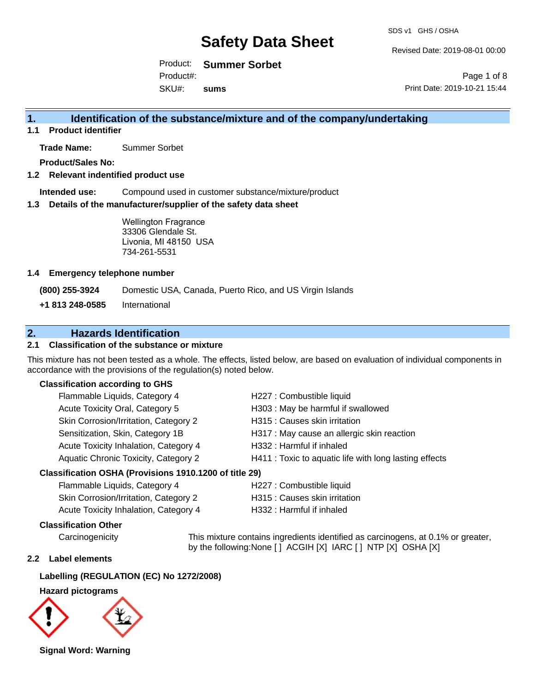Revised Date: 2019-08-01 00:00

Print Date: 2019-10-21 15:44

Page 1 of 8

Product: **Summer Sorbet** Product#:

SKU#: **sums**

## **1. Identification of the substance/mixture and of the company/undertaking**

**1.1 Product identifier**

**Trade Name:** Summer Sorbet

**Product/Sales No:**

#### **1.2 Relevant indentified product use**

**Intended use:** Compound used in customer substance/mixture/product

#### **1.3 Details of the manufacturer/supplier of the safety data sheet**

Wellington Fragrance 33306 Glendale St. Livonia, MI 48150 USA 734-261-5531

#### **1.4 Emergency telephone number**

**(800) 255-3924** Domestic USA, Canada, Puerto Rico, and US Virgin Islands

**+1 813 248-0585** International

## **2. Hazards Identification**

### **2.1 Classification of the substance or mixture**

This mixture has not been tested as a whole. The effects, listed below, are based on evaluation of individual components in accordance with the provisions of the regulation(s) noted below.

#### **Classification according to GHS**

| Flammable Liquids, Category 4                        | H227 : Combustible liquid                              |
|------------------------------------------------------|--------------------------------------------------------|
| Acute Toxicity Oral, Category 5                      | H303 : May be harmful if swallowed                     |
| Skin Corrosion/Irritation, Category 2                | H315 : Causes skin irritation                          |
| Sensitization, Skin, Category 1B                     | H317 : May cause an allergic skin reaction             |
| Acute Toxicity Inhalation, Category 4                | H332: Harmful if inhaled                               |
| Aquatic Chronic Toxicity, Category 2                 | H411 : Toxic to aquatic life with long lasting effects |
| coification OCLIA (Drovioiono 1010 1200 ef title 20) |                                                        |

#### **Classification OSHA (Provisions 1910.1200 of title 29)**

| Flammable Liquids, Category 4         | H227 : Combustible liquid     |
|---------------------------------------|-------------------------------|
| Skin Corrosion/Irritation, Category 2 | H315 : Causes skin irritation |
| Acute Toxicity Inhalation, Category 4 | H332 : Harmful if inhaled     |

#### **Classification Other**

Carcinogenicity This mixture contains ingredients identified as carcinogens, at 0.1% or greater, by the following:None [ ] ACGIH [X] IARC [ ] NTP [X] OSHA [X]

#### **2.2 Label elements**

### **Labelling (REGULATION (EC) No 1272/2008)**

**Hazard pictograms**



**Signal Word: Warning**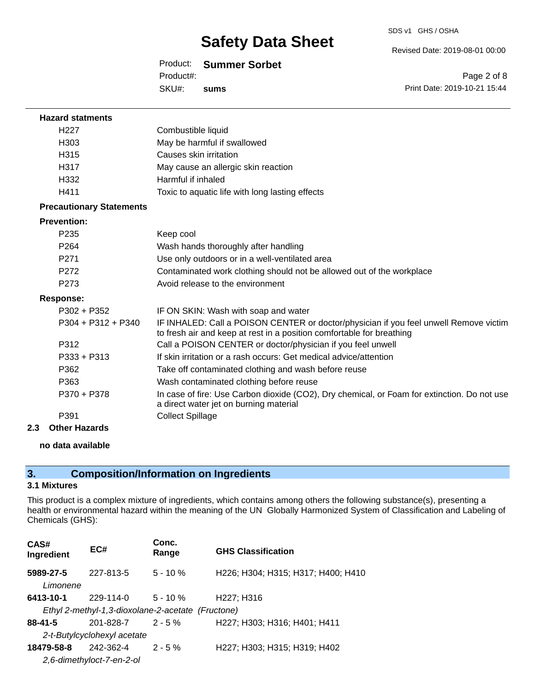#### Revised Date: 2019-08-01 00:00

### Product: **Summer Sorbet**

SKU#: Product#: **sums**

Page 2 of 8 Print Date: 2019-10-21 15:44

| <b>Hazard statments</b>         |                                                                                                                                                                |
|---------------------------------|----------------------------------------------------------------------------------------------------------------------------------------------------------------|
| H <sub>227</sub>                | Combustible liquid                                                                                                                                             |
| H <sub>303</sub>                | May be harmful if swallowed                                                                                                                                    |
| H315                            | Causes skin irritation                                                                                                                                         |
| H317                            | May cause an allergic skin reaction                                                                                                                            |
| H332                            | Harmful if inhaled                                                                                                                                             |
| H411                            | Toxic to aquatic life with long lasting effects                                                                                                                |
| <b>Precautionary Statements</b> |                                                                                                                                                                |
| <b>Prevention:</b>              |                                                                                                                                                                |
| P <sub>235</sub>                | Keep cool                                                                                                                                                      |
| P <sub>264</sub>                | Wash hands thoroughly after handling                                                                                                                           |
| P271                            | Use only outdoors or in a well-ventilated area                                                                                                                 |
| P <sub>272</sub>                | Contaminated work clothing should not be allowed out of the workplace                                                                                          |
| P <sub>273</sub>                | Avoid release to the environment                                                                                                                               |
| <b>Response:</b>                |                                                                                                                                                                |
| $P302 + P352$                   | IF ON SKIN: Wash with soap and water                                                                                                                           |
| $P304 + P312 + P340$            | IF INHALED: Call a POISON CENTER or doctor/physician if you feel unwell Remove victim<br>to fresh air and keep at rest in a position comfortable for breathing |
| P312                            | Call a POISON CENTER or doctor/physician if you feel unwell                                                                                                    |
| $P333 + P313$                   | If skin irritation or a rash occurs: Get medical advice/attention                                                                                              |
| P362                            | Take off contaminated clothing and wash before reuse                                                                                                           |
| P363                            | Wash contaminated clothing before reuse                                                                                                                        |
| P370 + P378                     | In case of fire: Use Carbon dioxide (CO2), Dry chemical, or Foam for extinction. Do not use<br>a direct water jet on burning material                          |
| P391                            | <b>Collect Spillage</b>                                                                                                                                        |

**2.3 Other Hazards**

#### **no data available**

## **3. Composition/Information on Ingredients**

## **3.1 Mixtures**

This product is a complex mixture of ingredients, which contains among others the following substance(s), presenting a health or environmental hazard within the meaning of the UN Globally Harmonized System of Classification and Labeling of Chemicals (GHS):

| CAS#<br>Ingredient                                | EC#                         | Conc.<br>Range | <b>GHS Classification</b>           |  |  |
|---------------------------------------------------|-----------------------------|----------------|-------------------------------------|--|--|
| 5989-27-5<br>Limonene                             | 227-813-5                   | $5 - 10 \%$    | H226; H304; H315; H317; H400; H410  |  |  |
| 6413-10-1                                         | $229 - 114 - 0$             | $5 - 10 \%$    | H <sub>227</sub> ; H <sub>316</sub> |  |  |
| Ethyl 2-methyl-1,3-dioxolane-2-acetate (Fructone) |                             |                |                                     |  |  |
| $88 - 41 - 5$                                     | 201-828-7                   | $2 - 5%$       | H227; H303; H316; H401; H411        |  |  |
|                                                   | 2-t-Butylcyclohexyl acetate |                |                                     |  |  |
| 18479-58-8                                        | 242-362-4                   | $2 - 5\%$      | H227; H303; H315; H319; H402        |  |  |
|                                                   | 2.6-dimethyloct-7-en-2-ol   |                |                                     |  |  |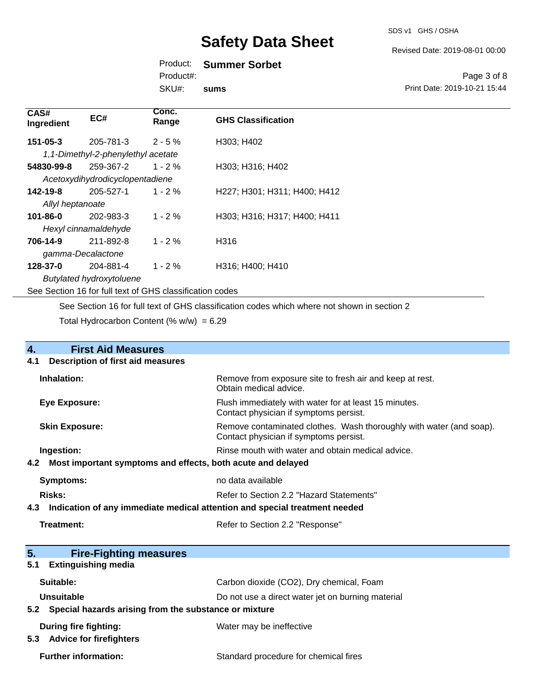#### Revised Date: 2019-08-01 00:00

## Product: **Summer Sorbet**

Product#:

SKU#: **sums**

#### Page 3 of 8 Print Date: 2019-10-21 15:44

| CAS#<br>Ingredient                                       | EC#                                | Conc.<br>Range | <b>GHS Classification</b>    |
|----------------------------------------------------------|------------------------------------|----------------|------------------------------|
| 151-05-3                                                 | 205-781-3                          | $2 - 5 \%$     | H303; H402                   |
|                                                          | 1,1-Dimethyl-2-phenylethyl acetate |                |                              |
| 54830-99-8                                               | 259-367-2                          | $1 - 2 \%$     | H303; H316; H402             |
|                                                          | Acetoxydihydrodicyclopentadiene    |                |                              |
| 142-19-8                                                 | 205-527-1                          | $1 - 2 \%$     | H227; H301; H311; H400; H412 |
| Allyl heptanoate                                         |                                    |                |                              |
| 101-86-0                                                 | 202-983-3                          | $1 - 2 \%$     | H303; H316; H317; H400; H411 |
| Hexyl cinnamaldehyde                                     |                                    |                |                              |
| 706-14-9                                                 | 211-892-8                          | $1 - 2\%$      | H316                         |
| gamma-Decalactone                                        |                                    |                |                              |
| 128-37-0                                                 | 204-881-4                          | $1 - 2 \%$     | H316; H400; H410             |
| <b>Butylated hydroxytoluene</b>                          |                                    |                |                              |
| See Section 16 for full text of GHS classification codes |                                    |                |                              |

See Section 16 for full text of GHS classification codes which where not shown in section 2

Total Hydrocarbon Content (%  $w/w$ ) = 6.29

| 4.                                                                                | <b>First Aid Measures</b>                                 |                                                                                                               |
|-----------------------------------------------------------------------------------|-----------------------------------------------------------|---------------------------------------------------------------------------------------------------------------|
| 4.1                                                                               | <b>Description of first aid measures</b>                  |                                                                                                               |
|                                                                                   | Inhalation:                                               | Remove from exposure site to fresh air and keep at rest.<br>Obtain medical advice.                            |
|                                                                                   | <b>Eye Exposure:</b>                                      | Flush immediately with water for at least 15 minutes.<br>Contact physician if symptoms persist.               |
|                                                                                   | <b>Skin Exposure:</b>                                     | Remove contaminated clothes. Wash thoroughly with water (and soap).<br>Contact physician if symptoms persist. |
|                                                                                   | Ingestion:                                                | Rinse mouth with water and obtain medical advice.                                                             |
| Most important symptoms and effects, both acute and delayed<br>4.2                |                                                           |                                                                                                               |
|                                                                                   | <b>Symptoms:</b>                                          | no data available                                                                                             |
|                                                                                   | <b>Risks:</b>                                             | Refer to Section 2.2 "Hazard Statements"                                                                      |
| Indication of any immediate medical attention and special treatment needed<br>4.3 |                                                           |                                                                                                               |
|                                                                                   | Treatment:                                                | Refer to Section 2.2 "Response"                                                                               |
| 5.                                                                                | <b>Fire-Fighting measures</b>                             |                                                                                                               |
| 5.1                                                                               | <b>Extinguishing media</b>                                |                                                                                                               |
|                                                                                   | Suitable:                                                 | Carbon dioxide (CO2), Dry chemical, Foam                                                                      |
|                                                                                   | <b>Unsuitable</b>                                         | Do not use a direct water jet on burning material                                                             |
|                                                                                   | 5.2 Special hazards arising from the substance or mixture |                                                                                                               |

| During fire fighting:<br>5.3 Advice for firefighters | Water may be ineffective              |  |
|------------------------------------------------------|---------------------------------------|--|
| <b>Further information:</b>                          | Standard procedure for chemical fires |  |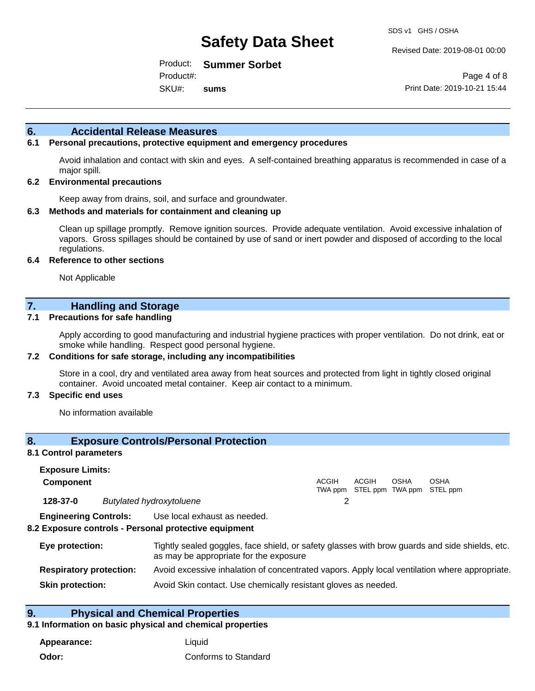Revised Date: 2019-08-01 00:00

Product: **Summer Sorbet** Product#:

SKU#: **sums**

Page 4 of 8 Print Date: 2019-10-21 15:44

### **6. Accidental Release Measures**

#### **6.1 Personal precautions, protective equipment and emergency procedures**

Avoid inhalation and contact with skin and eyes. A self-contained breathing apparatus is recommended in case of a major spill.

#### **6.2 Environmental precautions**

Keep away from drains, soil, and surface and groundwater.

#### **6.3 Methods and materials for containment and cleaning up**

Clean up spillage promptly. Remove ignition sources. Provide adequate ventilation. Avoid excessive inhalation of vapors. Gross spillages should be contained by use of sand or inert powder and disposed of according to the local regulations.

#### **6.4 Reference to other sections**

Not Applicable

### **7. Handling and Storage**

#### **7.1 Precautions for safe handling**

Apply according to good manufacturing and industrial hygiene practices with proper ventilation. Do not drink, eat or smoke while handling. Respect good personal hygiene.

#### **7.2 Conditions for safe storage, including any incompatibilities**

Store in a cool, dry and ventilated area away from heat sources and protected from light in tightly closed original container. Avoid uncoated metal container. Keep air contact to a minimum.

#### **7.3 Specific end uses**

No information available

#### **8. Exposure Controls/Personal Protection**

#### **8.1 Control parameters**

| <b>Exposure Limits:</b> |                                 |       |       |      |                                                  |
|-------------------------|---------------------------------|-------|-------|------|--------------------------------------------------|
| <b>Component</b>        |                                 | ACGIH | ACGIH | OSHA | <b>OSHA</b><br>TWA ppm STEL ppm TWA ppm STEL ppm |
| 128-37-0                | <b>Butylated hydroxytoluene</b> |       |       |      |                                                  |

**Engineering Controls:** Use local exhaust as needed.

#### **8.2 Exposure controls - Personal protective equipment**

| Eye protection:                | Tightly sealed goggles, face shield, or safety glasses with brow guards and side shields, etc.<br>as may be appropriate for the exposure |
|--------------------------------|------------------------------------------------------------------------------------------------------------------------------------------|
| <b>Respiratory protection:</b> | Avoid excessive inhalation of concentrated vapors. Apply local ventilation where appropriate.                                            |
| <b>Skin protection:</b>        | Avoid Skin contact. Use chemically resistant gloves as needed.                                                                           |

### **9. Physical and Chemical Properties**

#### **9.1 Information on basic physical and chemical properties**

**Appearance:** Liquid **Odor:** Conforms to Standard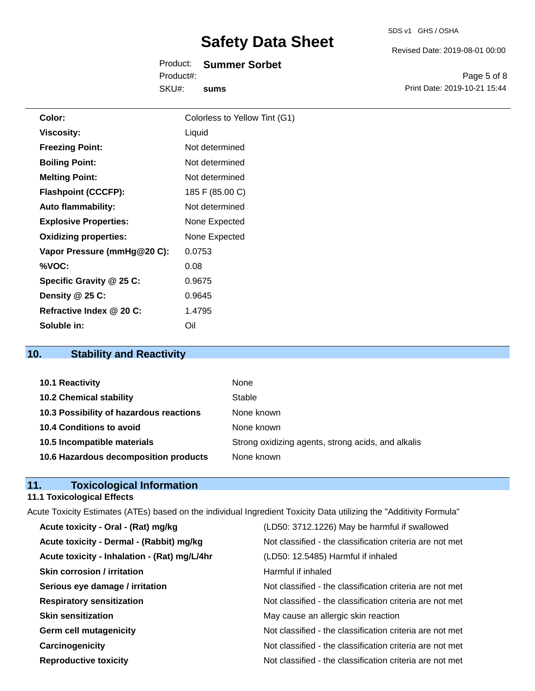Revised Date: 2019-08-01 00:00

Product: **Summer Sorbet** SKU#: Product#: **sums**

Page 5 of 8 Print Date: 2019-10-21 15:44

| Color:                       | Colorless to Yellow Tint (G1) |
|------------------------------|-------------------------------|
| <b>Viscosity:</b>            | Liquid                        |
| <b>Freezing Point:</b>       | Not determined                |
| <b>Boiling Point:</b>        | Not determined                |
| <b>Melting Point:</b>        | Not determined                |
| <b>Flashpoint (CCCFP):</b>   | 185 F (85.00 C)               |
| <b>Auto flammability:</b>    | Not determined                |
| <b>Explosive Properties:</b> | None Expected                 |
| <b>Oxidizing properties:</b> | None Expected                 |
| Vapor Pressure (mmHg@20 C):  | 0.0753                        |
| %VOC:                        | 0.08                          |
| Specific Gravity @ 25 C:     | 0.9675                        |
| Density @ 25 C:              | 0.9645                        |
| Refractive Index @ 20 C:     | 1.4795                        |
| Soluble in:                  | Oil                           |

## **10. Stability and Reactivity**

| 10.1 Reactivity                         | None                                               |
|-----------------------------------------|----------------------------------------------------|
| <b>10.2 Chemical stability</b>          | Stable                                             |
| 10.3 Possibility of hazardous reactions | None known                                         |
| 10.4 Conditions to avoid                | None known                                         |
| 10.5 Incompatible materials             | Strong oxidizing agents, strong acids, and alkalis |
| 10.6 Hazardous decomposition products   | None known                                         |

## **11. Toxicological Information**

## **11.1 Toxicological Effects**

|                                              | Acute Toxicity Estimates (ATEs) based on the individual Ingredient Toxicity Data utilizing the "Additivity Formula" |
|----------------------------------------------|---------------------------------------------------------------------------------------------------------------------|
| Acute toxicity - Oral - (Rat) mg/kg          | (LD50: 3712.1226) May be harmful if swallowed                                                                       |
| Acute toxicity - Dermal - (Rabbit) mg/kg     | Not classified - the classification criteria are not met                                                            |
| Acute toxicity - Inhalation - (Rat) mg/L/4hr | (LD50: 12.5485) Harmful if inhaled                                                                                  |
| <b>Skin corrosion / irritation</b>           | Harmful if inhaled                                                                                                  |
| Serious eye damage / irritation              | Not classified - the classification criteria are not met                                                            |
| <b>Respiratory sensitization</b>             | Not classified - the classification criteria are not met                                                            |
| <b>Skin sensitization</b>                    | May cause an allergic skin reaction                                                                                 |
| <b>Germ cell mutagenicity</b>                | Not classified - the classification criteria are not met                                                            |
| Carcinogenicity                              | Not classified - the classification criteria are not met                                                            |
| <b>Reproductive toxicity</b>                 | Not classified - the classification criteria are not met                                                            |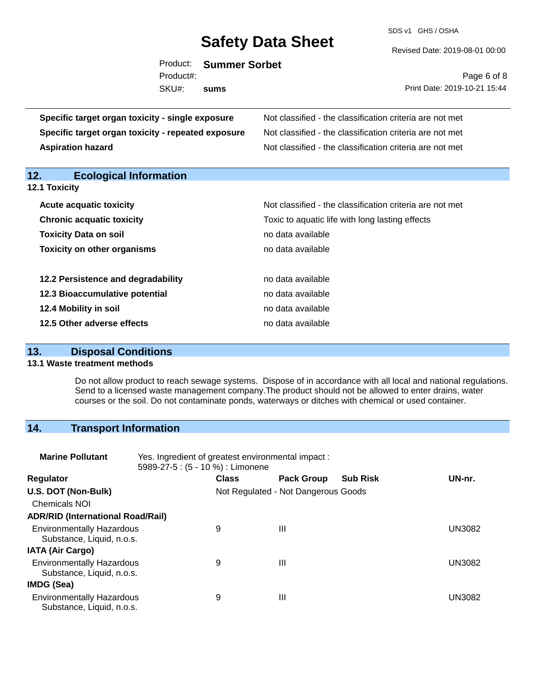SDS v1 GHS / OSHA

Revised Date: 2019-08-01 00:00

|            | Product: Summer Sorbet |
|------------|------------------------|
| Product#:  |                        |
| SKU#: sums |                        |
|            |                        |

Page 6 of 8 Print Date: 2019-10-21 15:44

| Specific target organ toxicity - single exposure<br>Specific target organ toxicity - repeated exposure<br><b>Aspiration hazard</b> | Not classified - the classification criteria are not met<br>Not classified - the classification criteria are not met<br>Not classified - the classification criteria are not met |
|------------------------------------------------------------------------------------------------------------------------------------|----------------------------------------------------------------------------------------------------------------------------------------------------------------------------------|
| 12.<br><b>Ecological Information</b>                                                                                               |                                                                                                                                                                                  |
| 12.1 Toxicity                                                                                                                      |                                                                                                                                                                                  |
| <b>Acute acquatic toxicity</b>                                                                                                     | Not classified - the classification criteria are not met                                                                                                                         |
| <b>Chronic acquatic toxicity</b>                                                                                                   | Toxic to aquatic life with long lasting effects                                                                                                                                  |
| <b>Toxicity Data on soil</b>                                                                                                       | no data available                                                                                                                                                                |
| <b>Toxicity on other organisms</b>                                                                                                 | no data available                                                                                                                                                                |
|                                                                                                                                    |                                                                                                                                                                                  |
| 12.2 Persistence and degradability                                                                                                 | no data available                                                                                                                                                                |
| 12.3 Bioaccumulative potential                                                                                                     | no data available                                                                                                                                                                |
| 12.4 Mobility in soil                                                                                                              | no data available                                                                                                                                                                |
| 12.5 Other adverse effects                                                                                                         | no data available                                                                                                                                                                |

## **13. Disposal Conditions**

#### **13.1 Waste treatment methods**

Do not allow product to reach sewage systems. Dispose of in accordance with all local and national regulations. Send to a licensed waste management company.The product should not be allowed to enter drains, water courses or the soil. Do not contaminate ponds, waterways or ditches with chemical or used container.

## **14. Transport Information**

| <b>Marine Pollutant</b>                                       | Yes. Ingredient of greatest environmental impact:<br>5989-27-5 : (5 - 10 %) : Limonene |              |                                     |                 |               |
|---------------------------------------------------------------|----------------------------------------------------------------------------------------|--------------|-------------------------------------|-----------------|---------------|
| <b>Regulator</b>                                              |                                                                                        | <b>Class</b> | <b>Pack Group</b>                   | <b>Sub Risk</b> | UN-nr.        |
| U.S. DOT (Non-Bulk)                                           |                                                                                        |              | Not Regulated - Not Dangerous Goods |                 |               |
| <b>Chemicals NOI</b>                                          |                                                                                        |              |                                     |                 |               |
| <b>ADR/RID (International Road/Rail)</b>                      |                                                                                        |              |                                     |                 |               |
| <b>Environmentally Hazardous</b><br>Substance, Liquid, n.o.s. |                                                                                        | 9            | $\mathbf{III}$                      |                 | <b>UN3082</b> |
| <b>IATA (Air Cargo)</b>                                       |                                                                                        |              |                                     |                 |               |
| <b>Environmentally Hazardous</b><br>Substance, Liquid, n.o.s. |                                                                                        | 9            | Ш                                   |                 | <b>UN3082</b> |
| IMDG (Sea)                                                    |                                                                                        |              |                                     |                 |               |
| <b>Environmentally Hazardous</b><br>Substance, Liquid, n.o.s. |                                                                                        | 9            | $\mathbf{III}$                      |                 | UN3082        |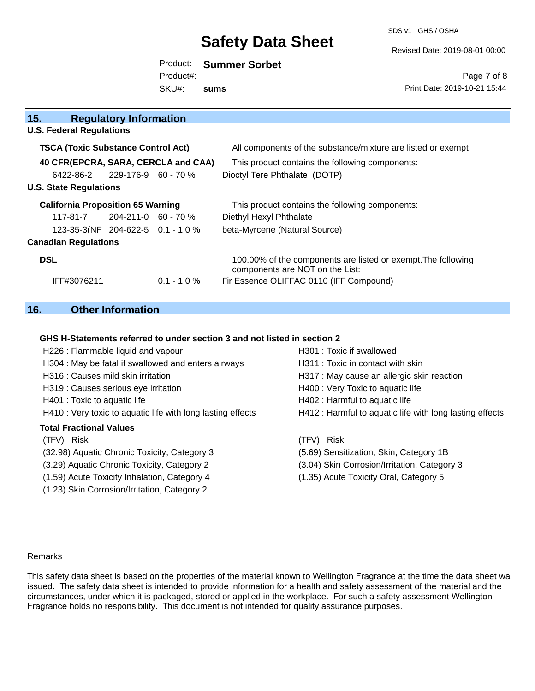SDS v1 GHS / OSHA

Revised Date: 2019-08-01 00:00

|           | Product: Summer Sorbet |
|-----------|------------------------|
| Product#: |                        |
| SKU#:     | sums                   |

Page 7 of 8 Print Date: 2019-10-21 15:44

| 15.                                       | <b>Regulatory Information</b> |                |                                                                                                  |
|-------------------------------------------|-------------------------------|----------------|--------------------------------------------------------------------------------------------------|
| <b>U.S. Federal Regulations</b>           |                               |                |                                                                                                  |
| <b>TSCA (Toxic Substance Control Act)</b> |                               |                | All components of the substance/mixture are listed or exempt                                     |
| 40 CFR(EPCRA, SARA, CERCLA and CAA)       |                               |                | This product contains the following components:                                                  |
| 6422-86-2                                 | 229-176-9 60 - 70 %           |                | Dioctyl Tere Phthalate (DOTP)                                                                    |
| <b>U.S. State Regulations</b>             |                               |                |                                                                                                  |
| <b>California Proposition 65 Warning</b>  |                               |                | This product contains the following components:                                                  |
| $117-81-7$ 204-211-0 60 - 70 %            |                               |                | Diethyl Hexyl Phthalate                                                                          |
| 123-35-3(NF 204-622-5 0.1 - 1.0 %         |                               |                | beta-Myrcene (Natural Source)                                                                    |
| <b>Canadian Regulations</b>               |                               |                |                                                                                                  |
| <b>DSL</b>                                |                               |                | 100.00% of the components are listed or exempt. The following<br>components are NOT on the List: |
| IFF#3076211                               |                               | $0.1 - 1.0 \%$ | Fir Essence OLIFFAC 0110 (IFF Compound)                                                          |

## **16. Other Information**

#### **GHS H-Statements referred to under section 3 and not listed in section 2**

| H226 : Flammable liquid and vapour                          | H301 : Toxic if swallowed                                |
|-------------------------------------------------------------|----------------------------------------------------------|
| H304 : May be fatal if swallowed and enters airways         | H311 : Toxic in contact with skin                        |
| H316 : Causes mild skin irritation                          | H317 : May cause an allergic skin reaction               |
| H319 : Causes serious eye irritation                        | H400 : Very Toxic to aquatic life                        |
| H401 : Toxic to aquatic life                                | H402 : Harmful to aquatic life                           |
| H410 : Very toxic to aquatic life with long lasting effects | H412 : Harmful to aquatic life with long lasting effects |
| <b>Total Fractional Values</b>                              |                                                          |
|                                                             |                                                          |
| (TFV) Risk                                                  | <b>Risk</b><br>(TFV).                                    |
| (32.98) Aquatic Chronic Toxicity, Category 3                | (5.69) Sensitization, Skin, Category 1B                  |
| (3.29) Aquatic Chronic Toxicity, Category 2                 | (3.04) Skin Corrosion/Irritation, Category 3             |
| (1.59) Acute Toxicity Inhalation, Category 4                | (1.35) Acute Toxicity Oral, Category 5                   |

#### Remarks

This safety data sheet is based on the properties of the material known to Wellington Fragrance at the time the data sheet was issued. The safety data sheet is intended to provide information for a health and safety assessment of the material and the circumstances, under which it is packaged, stored or applied in the workplace. For such a safety assessment Wellington Fragrance holds no responsibility. This document is not intended for quality assurance purposes.